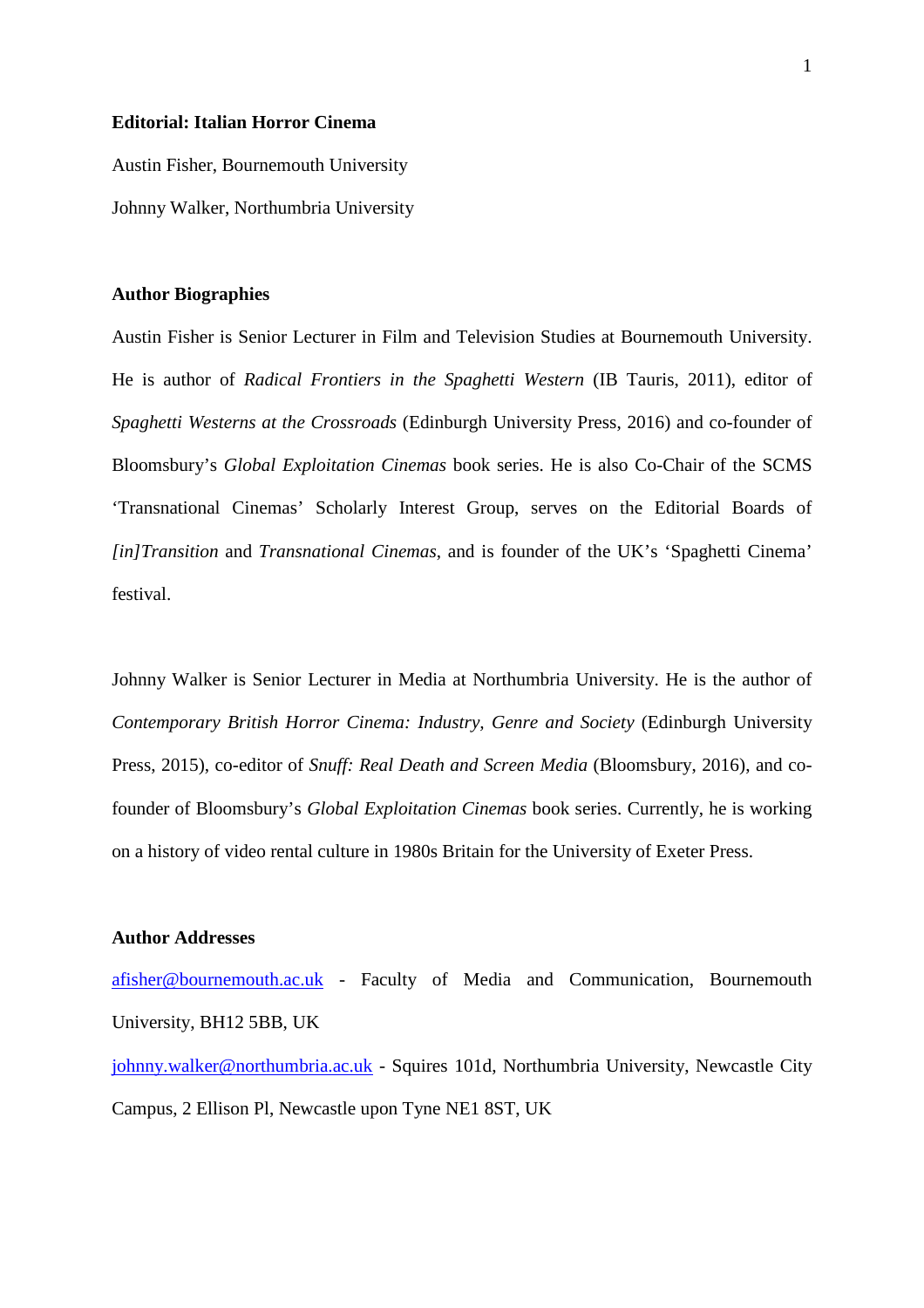## **Editorial: Italian Horror Cinema**

Austin Fisher, Bournemouth University Johnny Walker, Northumbria University

## **Author Biographies**

Austin Fisher is Senior Lecturer in Film and Television Studies at Bournemouth University. He is author of *Radical Frontiers in the Spaghetti Western* (IB Tauris, 2011), editor of *Spaghetti Westerns at the Crossroads* (Edinburgh University Press, 2016) and co-founder of Bloomsbury's *Global Exploitation Cinemas* book series. He is also Co-Chair of the SCMS 'Transnational Cinemas' Scholarly Interest Group, serves on the Editorial Boards of *[in]Transition* and *Transnational Cinemas*, and is founder of the UK's 'Spaghetti Cinema' festival.

Johnny Walker is Senior Lecturer in Media at Northumbria University. He is the author of *Contemporary British Horror Cinema: Industry, Genre and Society* (Edinburgh University Press, 2015), co-editor of *Snuff: Real Death and Screen Media* (Bloomsbury, 2016), and cofounder of Bloomsbury's *Global Exploitation Cinemas* book series. Currently, he is working on a history of video rental culture in 1980s Britain for the University of Exeter Press.

## **Author Addresses**

[afisher@bournemouth.ac.uk](mailto:afisher@bournemouth.ac.uk) - Faculty of Media and Communication, Bournemouth University, BH12 5BB, UK

[johnny.walker@northumbria.ac.uk](mailto:johnny.walker@northumbria.ac.uk) - Squires 101d, Northumbria University, Newcastle City Campus, 2 Ellison Pl, Newcastle upon Tyne NE1 8ST, UK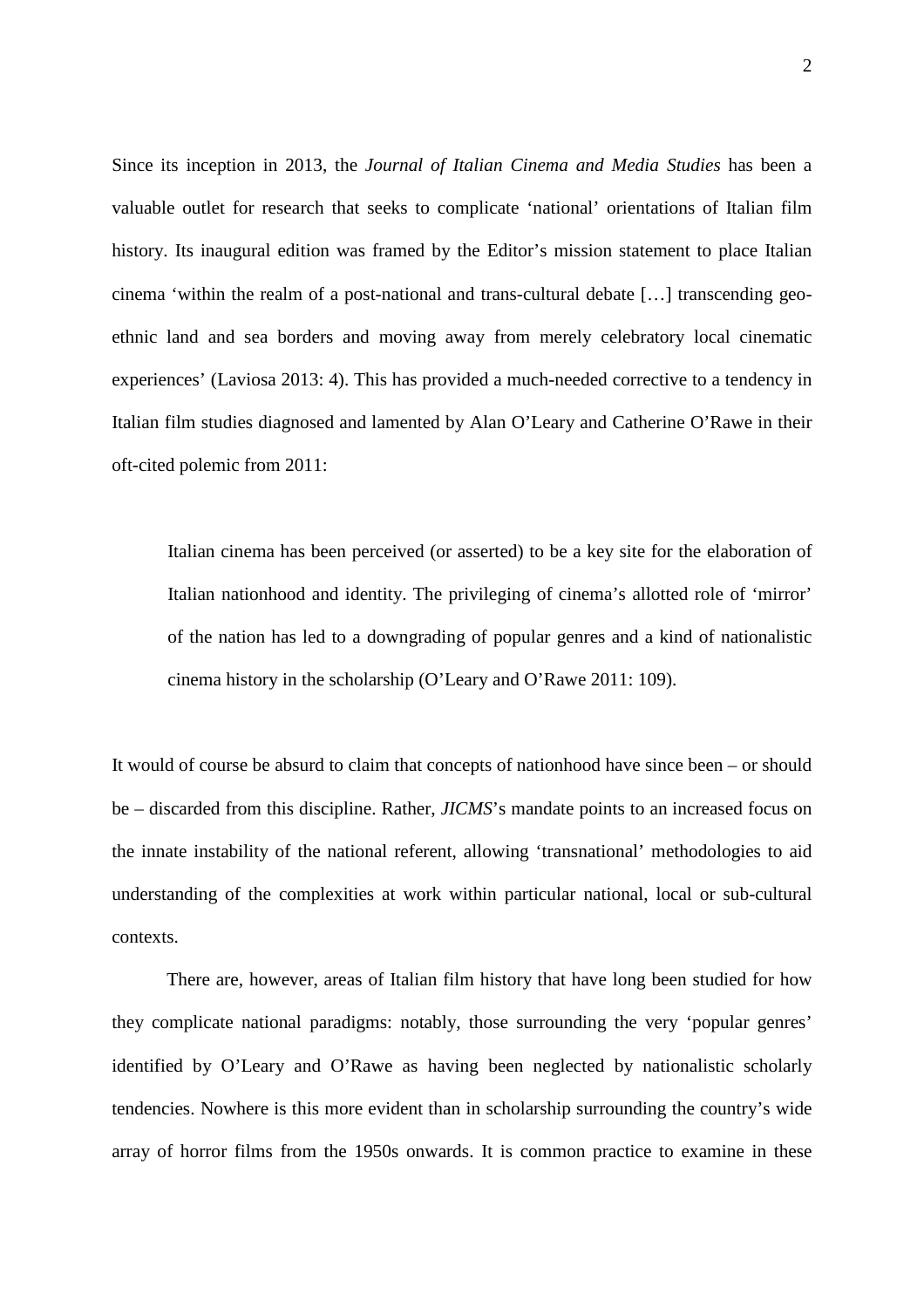Since its inception in 2013, the *Journal of Italian Cinema and Media Studies* has been a valuable outlet for research that seeks to complicate 'national' orientations of Italian film history. Its inaugural edition was framed by the Editor's mission statement to place Italian cinema 'within the realm of a post-national and trans-cultural debate […] transcending geoethnic land and sea borders and moving away from merely celebratory local cinematic experiences' (Laviosa 2013: 4). This has provided a much-needed corrective to a tendency in Italian film studies diagnosed and lamented by Alan O'Leary and Catherine O'Rawe in their oft-cited polemic from 2011:

Italian cinema has been perceived (or asserted) to be a key site for the elaboration of Italian nationhood and identity. The privileging of cinema's allotted role of 'mirror' of the nation has led to a downgrading of popular genres and a kind of nationalistic cinema history in the scholarship (O'Leary and O'Rawe 2011: 109).

It would of course be absurd to claim that concepts of nationhood have since been – or should be – discarded from this discipline. Rather, *JICMS*'s mandate points to an increased focus on the innate instability of the national referent, allowing 'transnational' methodologies to aid understanding of the complexities at work within particular national, local or sub-cultural contexts.

There are, however, areas of Italian film history that have long been studied for how they complicate national paradigms: notably, those surrounding the very 'popular genres' identified by O'Leary and O'Rawe as having been neglected by nationalistic scholarly tendencies. Nowhere is this more evident than in scholarship surrounding the country's wide array of horror films from the 1950s onwards. It is common practice to examine in these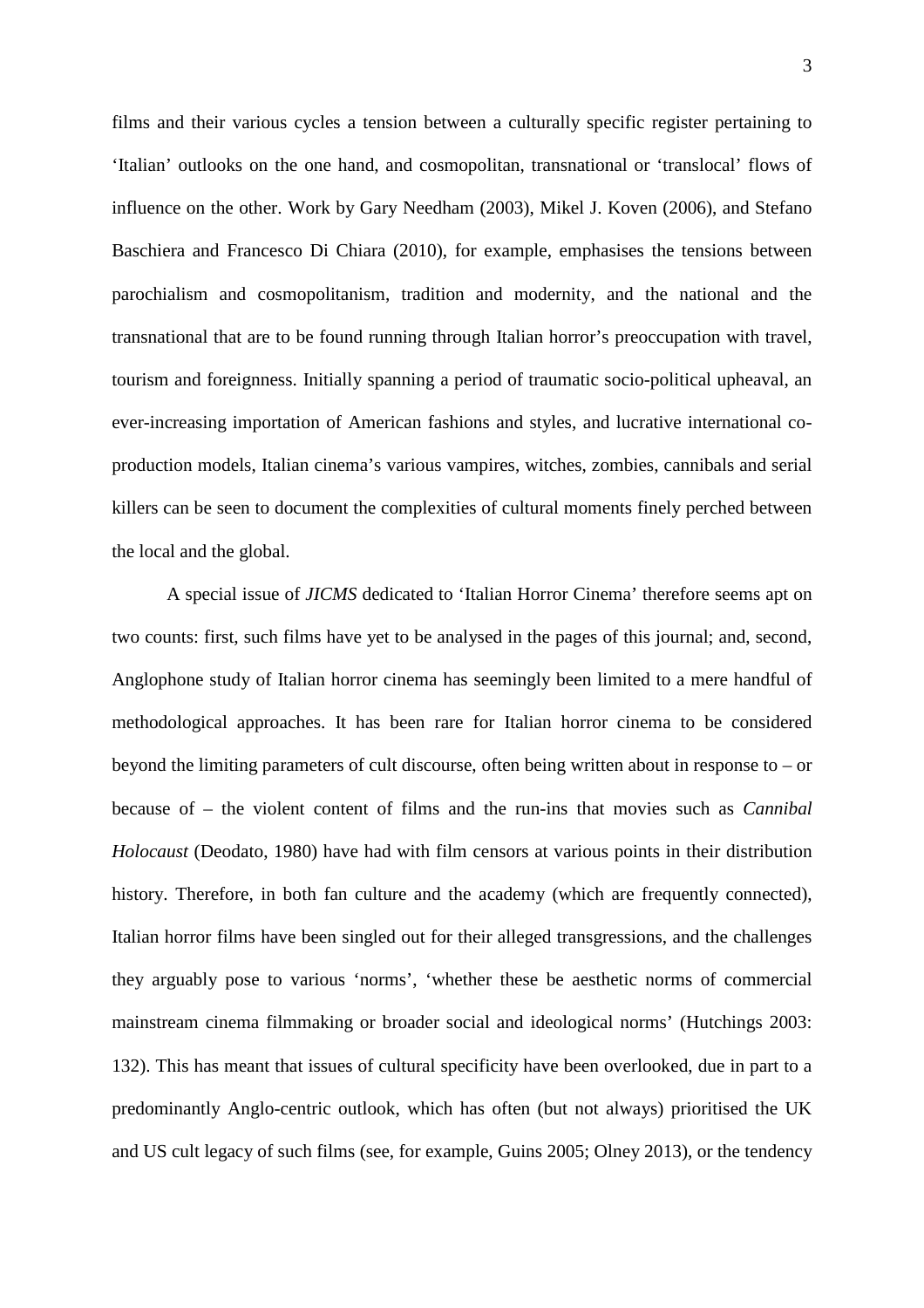films and their various cycles a tension between a culturally specific register pertaining to 'Italian' outlooks on the one hand, and cosmopolitan, transnational or 'translocal' flows of influence on the other. Work by Gary Needham (2003), Mikel J. Koven (2006), and Stefano Baschiera and Francesco Di Chiara (2010), for example, emphasises the tensions between parochialism and cosmopolitanism, tradition and modernity, and the national and the transnational that are to be found running through Italian horror's preoccupation with travel, tourism and foreignness. Initially spanning a period of traumatic socio-political upheaval, an ever-increasing importation of American fashions and styles, and lucrative international coproduction models, Italian cinema's various vampires, witches, zombies, cannibals and serial killers can be seen to document the complexities of cultural moments finely perched between the local and the global.

A special issue of *JICMS* dedicated to 'Italian Horror Cinema' therefore seems apt on two counts: first, such films have yet to be analysed in the pages of this journal; and, second, Anglophone study of Italian horror cinema has seemingly been limited to a mere handful of methodological approaches. It has been rare for Italian horror cinema to be considered beyond the limiting parameters of cult discourse, often being written about in response to – or because of – the violent content of films and the run-ins that movies such as *Cannibal Holocaust* (Deodato, 1980) have had with film censors at various points in their distribution history. Therefore, in both fan culture and the academy (which are frequently connected), Italian horror films have been singled out for their alleged transgressions, and the challenges they arguably pose to various 'norms', 'whether these be aesthetic norms of commercial mainstream cinema filmmaking or broader social and ideological norms' (Hutchings 2003: 132). This has meant that issues of cultural specificity have been overlooked, due in part to a predominantly Anglo-centric outlook, which has often (but not always) prioritised the UK and US cult legacy of such films (see, for example, Guins 2005; Olney 2013), or the tendency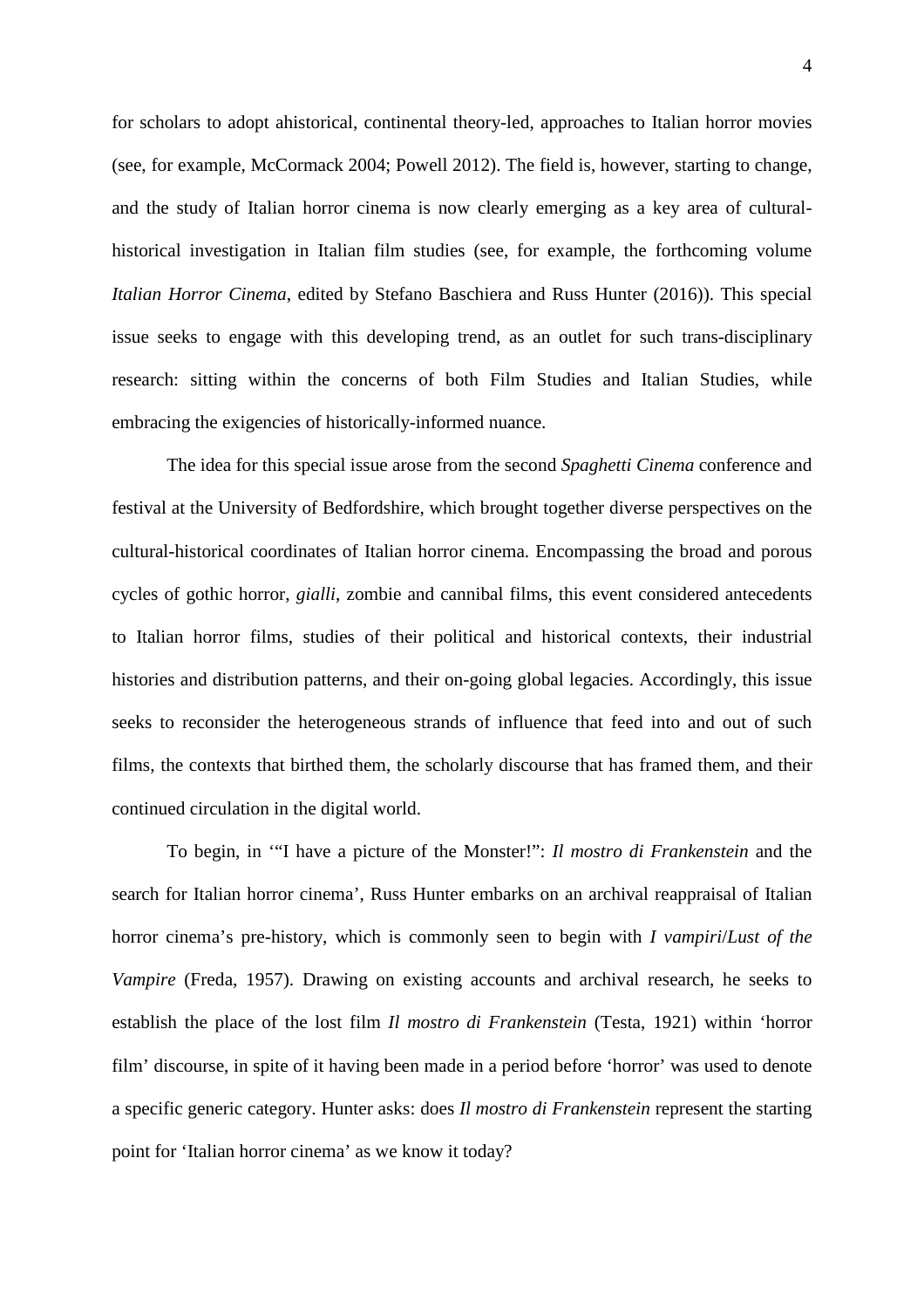for scholars to adopt ahistorical, continental theory-led, approaches to Italian horror movies (see, for example, McCormack 2004; Powell 2012). The field is, however, starting to change, and the study of Italian horror cinema is now clearly emerging as a key area of culturalhistorical investigation in Italian film studies (see, for example, the forthcoming volume *Italian Horror Cinema*, edited by Stefano Baschiera and Russ Hunter (2016)). This special issue seeks to engage with this developing trend, as an outlet for such trans-disciplinary research: sitting within the concerns of both Film Studies and Italian Studies, while embracing the exigencies of historically-informed nuance.

The idea for this special issue arose from the second *Spaghetti Cinema* conference and festival at the University of Bedfordshire, which brought together diverse perspectives on the cultural-historical coordinates of Italian horror cinema. Encompassing the broad and porous cycles of gothic horror, *gialli*, zombie and cannibal films, this event considered antecedents to Italian horror films, studies of their political and historical contexts, their industrial histories and distribution patterns, and their on-going global legacies. Accordingly, this issue seeks to reconsider the heterogeneous strands of influence that feed into and out of such films, the contexts that birthed them, the scholarly discourse that has framed them, and their continued circulation in the digital world.

To begin, in '"I have a picture of the Monster!": *Il mostro di Frankenstein* and the search for Italian horror cinema', Russ Hunter embarks on an archival reappraisal of Italian horror cinema's pre-history, which is commonly seen to begin with *I vampiri*/*Lust of the Vampire* (Freda, 1957). Drawing on existing accounts and archival research, he seeks to establish the place of the lost film *Il mostro di Frankenstein* (Testa, 1921) within 'horror film' discourse, in spite of it having been made in a period before 'horror' was used to denote a specific generic category. Hunter asks: does *Il mostro di Frankenstein* represent the starting point for 'Italian horror cinema' as we know it today?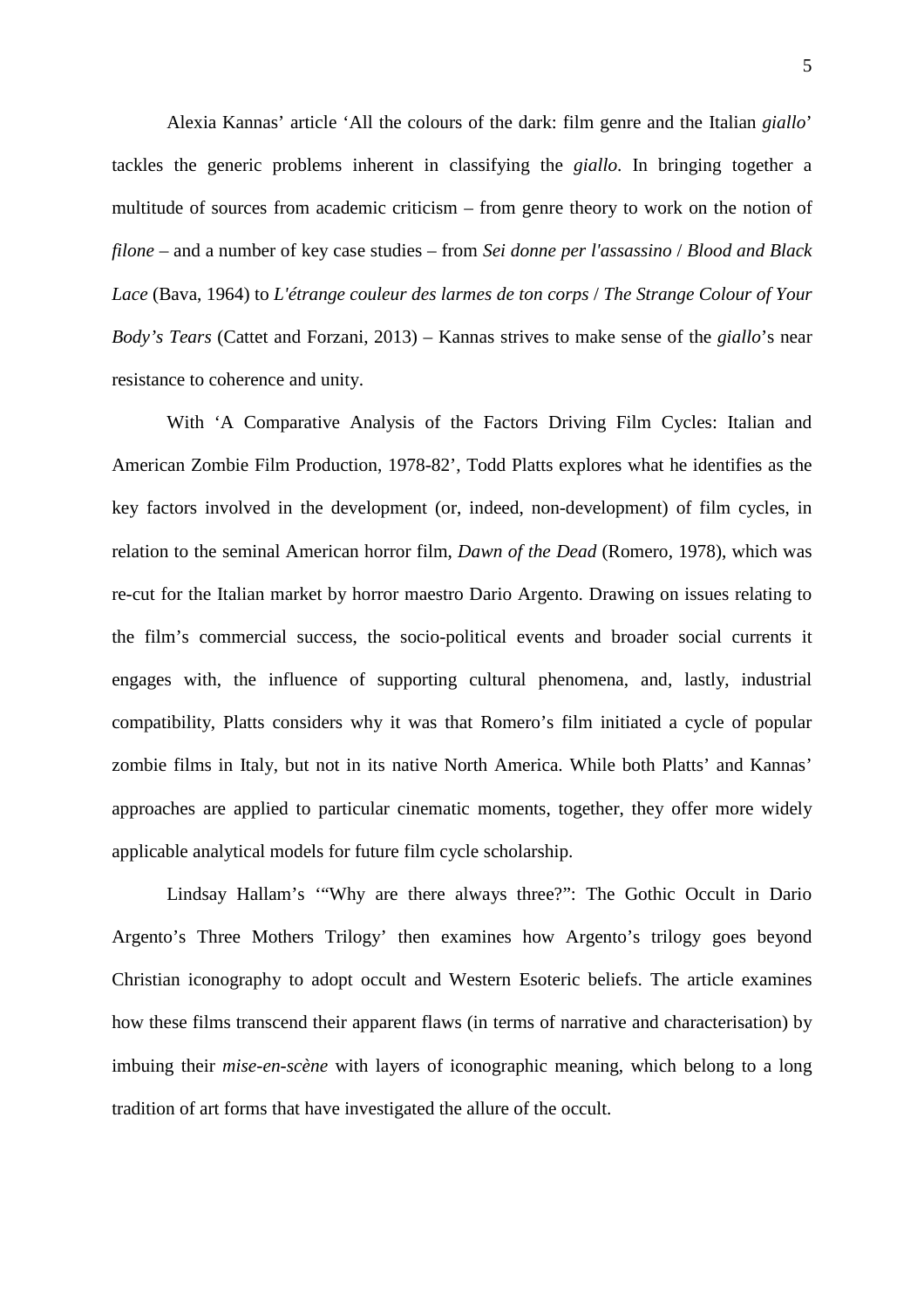Alexia Kannas' article 'All the colours of the dark: film genre and the Italian *giallo*' tackles the generic problems inherent in classifying the *giallo*. In bringing together a multitude of sources from academic criticism – from genre theory to work on the notion of *filone* – and a number of key case studies – from *Sei donne per l'assassino* / *Blood and Black Lace* (Bava, 1964) to *L'étrange couleur des larmes de ton corps* / *The Strange Colour of Your Body's Tears* (Cattet and Forzani, 2013) *–* Kannas strives to make sense of the *giallo*'s near resistance to coherence and unity.

With 'A Comparative Analysis of the Factors Driving Film Cycles: Italian and American Zombie Film Production, 1978-82', Todd Platts explores what he identifies as the key factors involved in the development (or, indeed, non-development) of film cycles, in relation to the seminal American horror film, *Dawn of the Dead* (Romero, 1978), which was re-cut for the Italian market by horror maestro Dario Argento. Drawing on issues relating to the film's commercial success, the socio-political events and broader social currents it engages with, the influence of supporting cultural phenomena, and, lastly, industrial compatibility, Platts considers why it was that Romero's film initiated a cycle of popular zombie films in Italy, but not in its native North America. While both Platts' and Kannas' approaches are applied to particular cinematic moments, together, they offer more widely applicable analytical models for future film cycle scholarship.

Lindsay Hallam's '"Why are there always three?": The Gothic Occult in Dario Argento's Three Mothers Trilogy' then examines how Argento's trilogy goes beyond Christian iconography to adopt occult and Western Esoteric beliefs. The article examines how these films transcend their apparent flaws (in terms of narrative and characterisation) by imbuing their *mise-en-scène* with layers of iconographic meaning, which belong to a long tradition of art forms that have investigated the allure of the occult.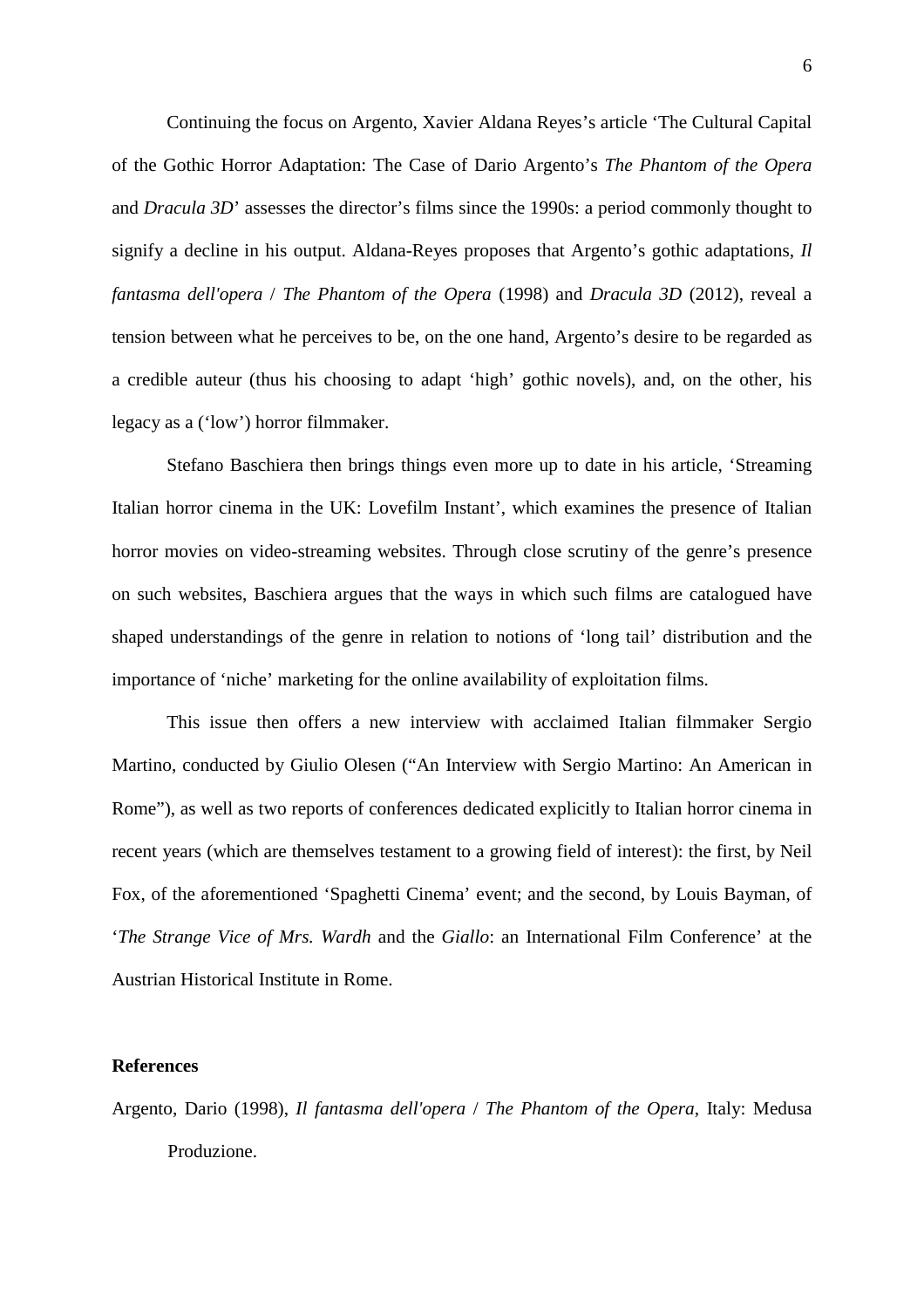Continuing the focus on Argento, Xavier Aldana Reyes's article 'The Cultural Capital of the Gothic Horror Adaptation: The Case of Dario Argento's *The Phantom of the Opera*  and *Dracula 3D*' assesses the director's films since the 1990s: a period commonly thought to signify a decline in his output. Aldana-Reyes proposes that Argento's gothic adaptations, *Il fantasma dell'opera* / *The Phantom of the Opera* (1998) and *Dracula 3D* (2012), reveal a tension between what he perceives to be, on the one hand, Argento's desire to be regarded as a credible auteur (thus his choosing to adapt 'high' gothic novels), and, on the other, his legacy as a ('low') horror filmmaker.

Stefano Baschiera then brings things even more up to date in his article, 'Streaming Italian horror cinema in the UK: Lovefilm Instant', which examines the presence of Italian horror movies on video-streaming websites. Through close scrutiny of the genre's presence on such websites, Baschiera argues that the ways in which such films are catalogued have shaped understandings of the genre in relation to notions of 'long tail' distribution and the importance of 'niche' marketing for the online availability of exploitation films.

This issue then offers a new interview with acclaimed Italian filmmaker Sergio Martino, conducted by Giulio Olesen ("An Interview with Sergio Martino: An American in Rome"), as well as two reports of conferences dedicated explicitly to Italian horror cinema in recent years (which are themselves testament to a growing field of interest): the first, by Neil Fox, of the aforementioned 'Spaghetti Cinema' event; and the second, by Louis Bayman, of '*The Strange Vice of Mrs. Wardh* and the *Giallo*: an International Film Conference' at the Austrian Historical Institute in Rome.

## **References**

Argento, Dario (1998), *Il fantasma dell'opera* / *The Phantom of the Opera*, Italy: Medusa Produzione.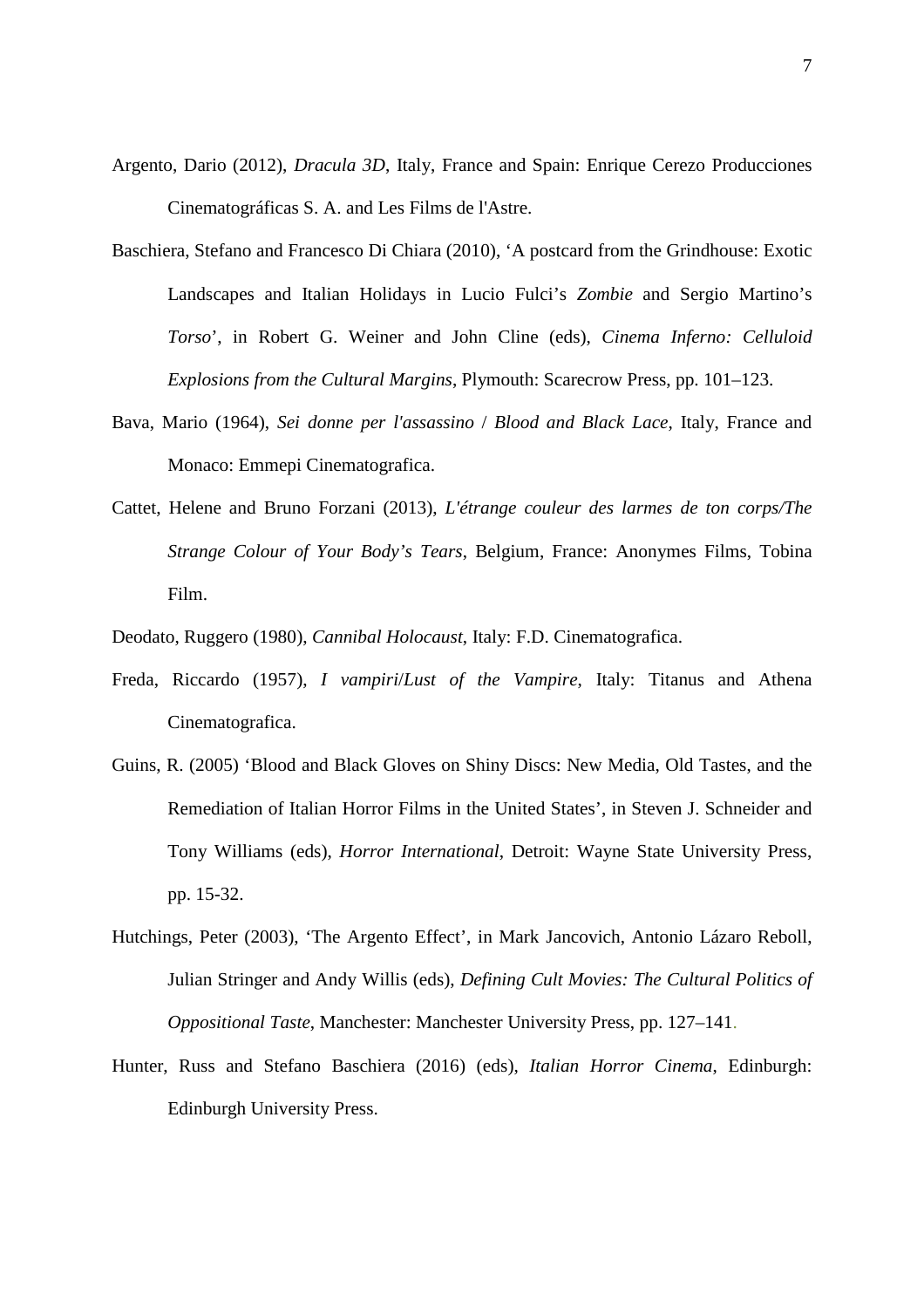- Argento, Dario (2012), *Dracula 3D*, Italy, France and Spain: Enrique Cerezo Producciones Cinematográficas S. A. and Les Films de l'Astre.
- Baschiera, Stefano and Francesco Di Chiara (2010), 'A postcard from the Grindhouse: Exotic Landscapes and Italian Holidays in Lucio Fulci's *Zombie* and Sergio Martino's *Torso*', in Robert G. Weiner and John Cline (eds), *Cinema Inferno: Celluloid Explosions from the Cultural Margins*, Plymouth: Scarecrow Press, pp. 101–123.
- Bava, Mario (1964), *Sei donne per l'assassino* / *Blood and Black Lace*, Italy, France and Monaco: Emmepi Cinematografica.
- Cattet, Helene and Bruno Forzani (2013), *L'étrange couleur des larmes de ton corps/The Strange Colour of Your Body's Tears*, Belgium, France: Anonymes Films, Tobina Film.
- Deodato, Ruggero (1980), *Cannibal Holocaust*, Italy: F.D. Cinematografica.
- Freda, Riccardo (1957), *I vampiri*/*Lust of the Vampire*, Italy: Titanus and Athena Cinematografica.
- Guins, R. (2005) 'Blood and Black Gloves on Shiny Discs: New Media, Old Tastes, and the Remediation of Italian Horror Films in the United States', in Steven J. Schneider and Tony Williams (eds), *Horror International*, Detroit: Wayne State University Press, pp. 15-32.
- Hutchings, Peter (2003), 'The Argento Effect', in Mark Jancovich, Antonio Lázaro Reboll, Julian Stringer and Andy Willis (eds), *Defining Cult Movies: The Cultural Politics of Oppositional Taste*, Manchester: Manchester University Press, pp. 127–141.
- Hunter, Russ and Stefano Baschiera (2016) (eds), *Italian Horror Cinema*, Edinburgh: Edinburgh University Press.